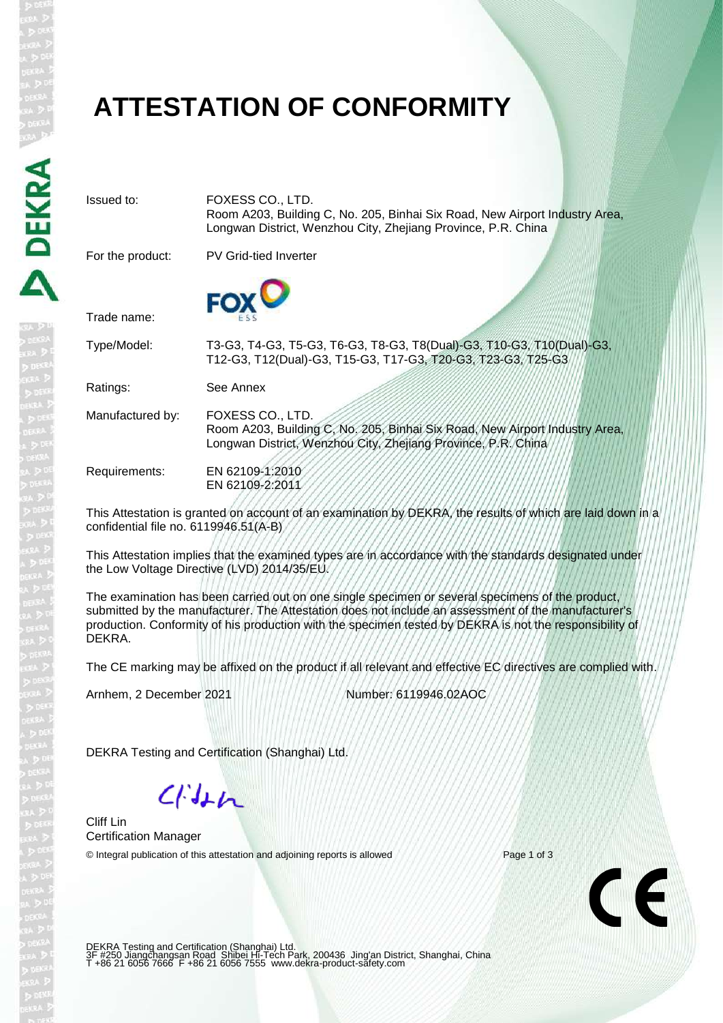# **ATTESTATION OF CONFORMITY**

Issued to: FOXESS CO., LTD. Room A203, Building C, No. 205, Binhai Six Road, New Airport Industry Area, Longwan District, Wenzhou City, Zhejiang Province, P.R. China For the product: PV Grid-tied Inverter Trade name: Type/Model: T3-G3, T4-G3, T5-G3, T6-G3, T8-G3, T8(Dual)-G3, T10-G3, T10(Dual)-G3, T12-G3, T12(Dual)-G3, T15-G3, T17-G3, T20-G3, T23-G3, T25-G3 Ratings: See Annex Manufactured by: FOXESS CO., LTD. Room A203, Building C, No. 205, Binhai Six Road, New Airport Industry Area, Longwan District, Wenzhou City, Zhejiang Province, P.R. China Requirements: EN 62109-1:2010 EN 62109-2:2011 This Attestation is granted on account of an examination by DEKRA, the results of which are laid down in a

confidential file no. 6119946.51(A-B)

This Attestation implies that the examined types are in accordance with the standards designated under the Low Voltage Directive (LVD) 2014/35/EU.

The examination has been carried out on one single specimen or several specimens of the product, submitted by the manufacturer. The Attestation does not include an assessment of the manufacturer's production. Conformity of his production with the specimen tested by DEKRA is not the responsibility of DEKRA.

The CE marking may be affixed on the product if all relevant and effective EC directives are complied with.

Arnhem, 2 December 2021 Number: 6119946.02AOC

DEKRA Testing and Certification (Shanghai) Ltd.

 $C/M+h$ 

Cliff Lin Certification Manager

© Integral publication of this attestation and adjoining reports is allowed Page 1 of 3



DEKRA Testing and Certification (Shanghai) Ltd.<br>3F #250 Jiangchangsan Road Shibei Hi-Tech Park, 200436 Jing'an District, Shanghai, China<br>T +86 21 6056 7666 F +86 21 6056 7555 www.dekra-product-safety.com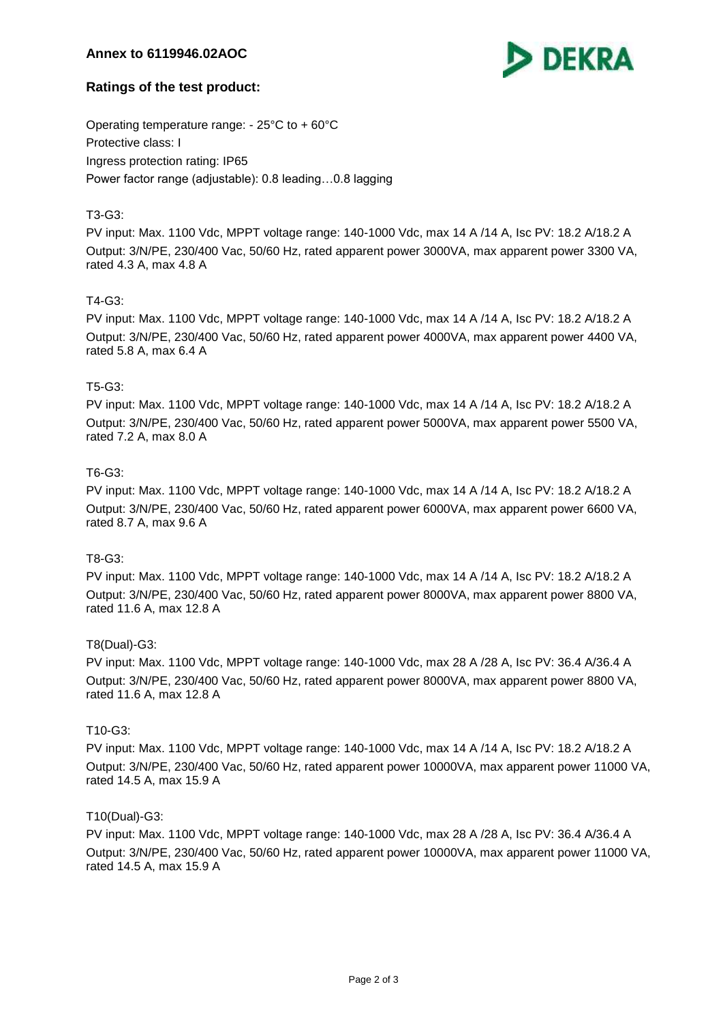# **Annex to 6119946.02AOC**



# **Ratings of the test product:**

Operating temperature range: - 25°C to + 60°C Protective class: I Ingress protection rating: IP65 Power factor range (adjustable): 0.8 leading…0.8 lagging

# T3-G3:

PV input: Max. 1100 Vdc, MPPT voltage range: 140-1000 Vdc, max 14 A /14 A, Isc PV: 18.2 A/18.2 A Output: 3/N/PE, 230/400 Vac, 50/60 Hz, rated apparent power 3000VA, max apparent power 3300 VA, rated 4.3 A, max 4.8 A

## T4-G3:

PV input: Max. 1100 Vdc, MPPT voltage range: 140-1000 Vdc, max 14 A /14 A, Isc PV: 18.2 A/18.2 A Output: 3/N/PE, 230/400 Vac, 50/60 Hz, rated apparent power 4000VA, max apparent power 4400 VA, rated 5.8 A, max 6.4 A

## T5-G3:

PV input: Max. 1100 Vdc, MPPT voltage range: 140-1000 Vdc, max 14 A /14 A, Isc PV: 18.2 A/18.2 A Output: 3/N/PE, 230/400 Vac, 50/60 Hz, rated apparent power 5000VA, max apparent power 5500 VA, rated 7.2 A, max 8.0 A

## T6-G3:

PV input: Max. 1100 Vdc, MPPT voltage range: 140-1000 Vdc, max 14 A /14 A, Isc PV: 18.2 A/18.2 A Output: 3/N/PE, 230/400 Vac, 50/60 Hz, rated apparent power 6000VA, max apparent power 6600 VA, rated 8.7 A, max 9.6 A

## T8-G3:

PV input: Max. 1100 Vdc, MPPT voltage range: 140-1000 Vdc, max 14 A /14 A, Isc PV: 18.2 A/18.2 A Output: 3/N/PE, 230/400 Vac, 50/60 Hz, rated apparent power 8000VA, max apparent power 8800 VA, rated 11.6 A, max 12.8 A

#### T8(Dual)-G3:

PV input: Max. 1100 Vdc, MPPT voltage range: 140-1000 Vdc, max 28 A /28 A, Isc PV: 36.4 A/36.4 A Output: 3/N/PE, 230/400 Vac, 50/60 Hz, rated apparent power 8000VA, max apparent power 8800 VA, rated 11.6 A, max 12.8 A

#### T10-G3:

PV input: Max. 1100 Vdc, MPPT voltage range: 140-1000 Vdc, max 14 A /14 A, Isc PV: 18.2 A/18.2 A Output: 3/N/PE, 230/400 Vac, 50/60 Hz, rated apparent power 10000VA, max apparent power 11000 VA, rated 14.5 A, max 15.9 A

#### T10(Dual)-G3:

PV input: Max. 1100 Vdc, MPPT voltage range: 140-1000 Vdc, max 28 A /28 A, Isc PV: 36.4 A/36.4 A Output: 3/N/PE, 230/400 Vac, 50/60 Hz, rated apparent power 10000VA, max apparent power 11000 VA, rated 14.5 A, max 15.9 A